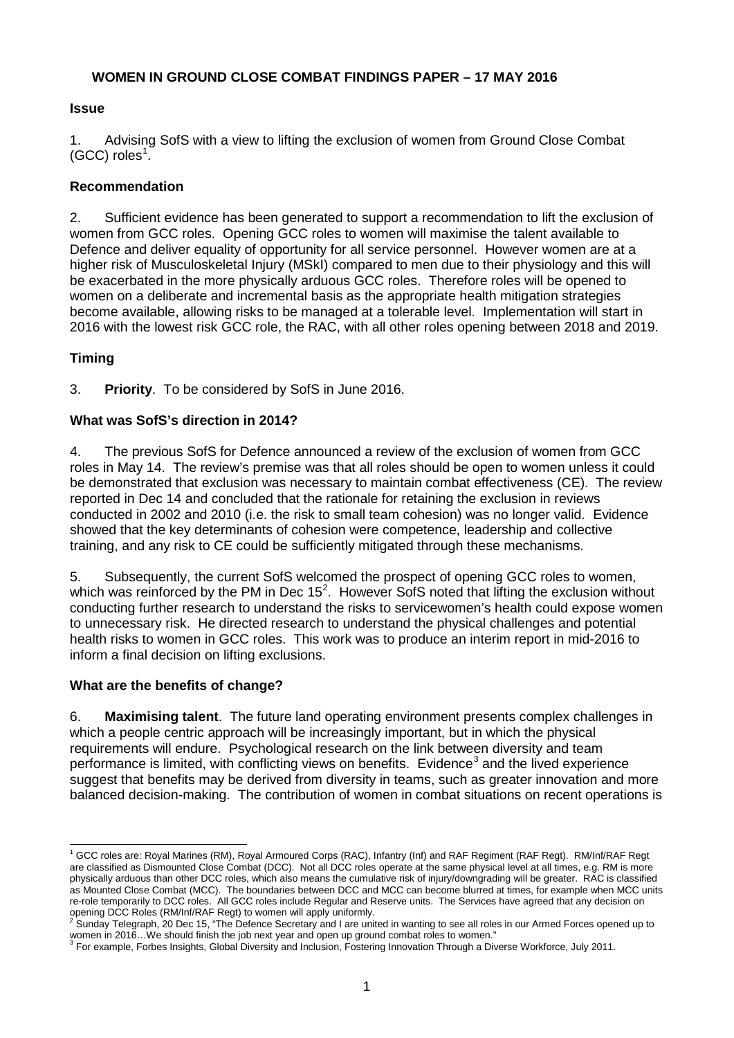### **WOMEN IN GROUND CLOSE COMBAT FINDINGS PAPER – 17 MAY 2016**

#### **Issue**

1. Advising SofS with a view to lifting the exclusion of women from Ground Close Combat  $(GCC)$  roles<sup>[1](#page-0-0)</sup>.

### **Recommendation**

2. Sufficient evidence has been generated to support a recommendation to lift the exclusion of women from GCC roles. Opening GCC roles to women will maximise the talent available to Defence and deliver equality of opportunity for all service personnel. However women are at a higher risk of Musculoskeletal Injury (MSkI) compared to men due to their physiology and this will be exacerbated in the more physically arduous GCC roles. Therefore roles will be opened to women on a deliberate and incremental basis as the appropriate health mitigation strategies become available, allowing risks to be managed at a tolerable level. Implementation will start in 2016 with the lowest risk GCC role, the RAC, with all other roles opening between 2018 and 2019.

### **Timing**

3. **Priority**. To be considered by SofS in June 2016.

### **What was SofS's direction in 2014?**

4. The previous SofS for Defence announced a review of the exclusion of women from GCC roles in May 14. The review's premise was that all roles should be open to women unless it could be demonstrated that exclusion was necessary to maintain combat effectiveness (CE). The review reported in Dec 14 and concluded that the rationale for retaining the exclusion in reviews conducted in 2002 and 2010 (i.e. the risk to small team cohesion) was no longer valid. Evidence showed that the key determinants of cohesion were competence, leadership and collective training, and any risk to CE could be sufficiently mitigated through these mechanisms.

5. Subsequently, the current SofS welcomed the prospect of opening GCC roles to women, which was reinforced by the PM in Dec  $15^2$  $15^2$ . However SofS noted that lifting the exclusion without conducting further research to understand the risks to servicewomen's health could expose women to unnecessary risk. He directed research to understand the physical challenges and potential health risks to women in GCC roles. This work was to produce an interim report in mid-2016 to inform a final decision on lifting exclusions.

#### **What are the benefits of change?**

6. **Maximising talent**. The future land operating environment presents complex challenges in which a people centric approach will be increasingly important, but in which the physical requirements will endure. Psychological research on the link between diversity and team performance is limited, with conflicting views on benefits. Evidence<sup>[3](#page-0-2)</sup> and the lived experience suggest that benefits may be derived from diversity in teams, such as greater innovation and more balanced decision-making. The contribution of women in combat situations on recent operations is

<span id="page-0-0"></span><sup>&</sup>lt;sup>1</sup> GCC roles are: Royal Marines (RM), Royal Armoured Corps (RAC), Infantry (Inf) and RAF Regiment (RAF Regt). RM/Inf/RAF Regt are classified as Dismounted Close Combat (DCC). Not all DCC roles operate at the same physical level at all times, e.g. RM is more physically arduous than other DCC roles, which also means the cumulative risk of injury/downgrading will be greater. RAC is classified as Mounted Close Combat (MCC). The boundaries between DCC and MCC can become blurred at times, for example when MCC units re-role temporarily to DCC roles. All GCC roles include Regular and Reserve units. The Services have agreed that any decision on

<span id="page-0-1"></span>opening DCC Roles (RM/Inf/RAF Regt) to women will apply uniformly.<br><sup>2</sup> Sunday Telegraph, 20 Dec 15, "The Defence Secretary and I are united in wanting to see all roles in our Armed Forces opened up to women in 2016…We should finish the job next year and open up ground combat roles to women."<br><sup>3</sup> For example, Forbes Insights, Global Diversity and Inclusion, Fostering Innovation Through a Diverse Workforce, July 2011.

<span id="page-0-2"></span>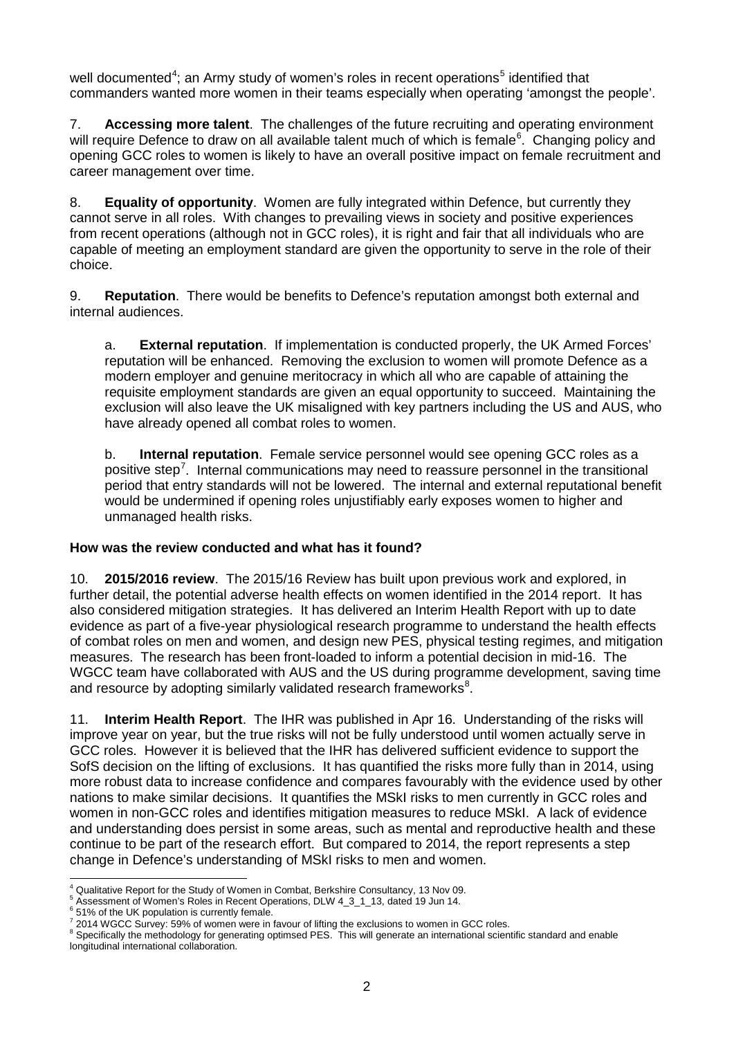well documented<sup>[4](#page-1-0)</sup>; an Army study of women's roles in recent operations<sup>[5](#page-1-1)</sup> identified that commanders wanted more women in their teams especially when operating 'amongst the people'.

7. **Accessing more talent**. The challenges of the future recruiting and operating environment will require Defence to draw on all available talent much of which is female<sup>[6](#page-1-2)</sup>. Changing policy and opening GCC roles to women is likely to have an overall positive impact on female recruitment and career management over time.

8. **Equality of opportunity**. Women are fully integrated within Defence, but currently they cannot serve in all roles. With changes to prevailing views in society and positive experiences from recent operations (although not in GCC roles), it is right and fair that all individuals who are capable of meeting an employment standard are given the opportunity to serve in the role of their choice.

9. **Reputation**. There would be benefits to Defence's reputation amongst both external and internal audiences.

a. **External reputation**. If implementation is conducted properly, the UK Armed Forces' reputation will be enhanced. Removing the exclusion to women will promote Defence as a modern employer and genuine meritocracy in which all who are capable of attaining the requisite employment standards are given an equal opportunity to succeed. Maintaining the exclusion will also leave the UK misaligned with key partners including the US and AUS, who have already opened all combat roles to women.

b. **Internal reputation**. Female service personnel would see opening GCC roles as a positive step<sup>[7](#page-1-3)</sup>. Internal communications may need to reassure personnel in the transitional period that entry standards will not be lowered. The internal and external reputational benefit would be undermined if opening roles unjustifiably early exposes women to higher and unmanaged health risks.

#### **How was the review conducted and what has it found?**

10. **2015/2016 review**. The 2015/16 Review has built upon previous work and explored, in further detail, the potential adverse health effects on women identified in the 2014 report. It has also considered mitigation strategies. It has delivered an Interim Health Report with up to date evidence as part of a five-year physiological research programme to understand the health effects of combat roles on men and women, and design new PES, physical testing regimes, and mitigation measures. The research has been front-loaded to inform a potential decision in mid-16. The WGCC team have collaborated with AUS and the US during programme development, saving time and resource by adopting similarly validated research frameworks<sup>[8](#page-1-4)</sup>.

11. **Interim Health Report**. The IHR was published in Apr 16. Understanding of the risks will improve year on year, but the true risks will not be fully understood until women actually serve in GCC roles. However it is believed that the IHR has delivered sufficient evidence to support the SofS decision on the lifting of exclusions. It has quantified the risks more fully than in 2014, using more robust data to increase confidence and compares favourably with the evidence used by other nations to make similar decisions. It quantifies the MSkI risks to men currently in GCC roles and women in non-GCC roles and identifies mitigation measures to reduce MSkI. A lack of evidence and understanding does persist in some areas, such as mental and reproductive health and these continue to be part of the research effort. But compared to 2014, the report represents a step change in Defence's understanding of MSkI risks to men and women.

<span id="page-1-1"></span><span id="page-1-0"></span> <sup>4</sup> Qualitative Report for the Study of Women in Combat, Berkshire Consultancy, 13 Nov 09.

Assessment of Women's Roles in Recent Operations, DLW 4\_3\_1\_13, dated 19 Jun 14.<br>51% of the UK population is currently female.

<span id="page-1-4"></span><span id="page-1-3"></span><span id="page-1-2"></span> $\frac{7}{2}$  2014 WGCC Survey: 59% of women were in favour of lifting the exclusions to women in GCC roles.<br><sup>8</sup> Specifically the methodology for generating optimsed PES. This will generate an international scientific standar longitudinal international collaboration.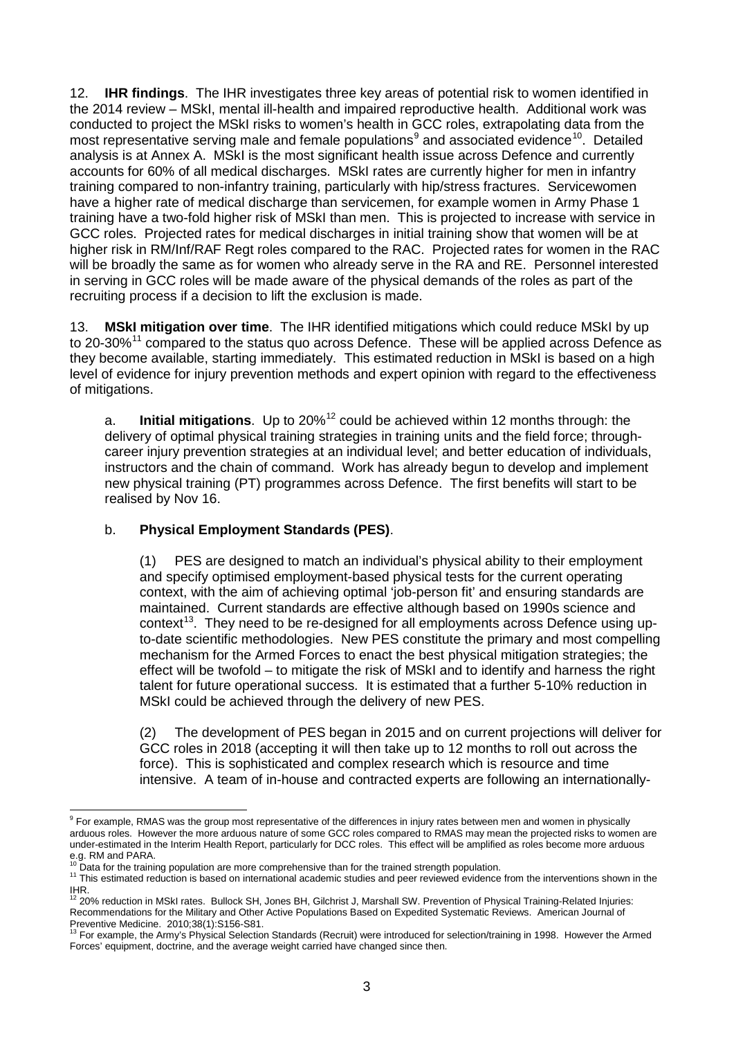12. **IHR findings**. The IHR investigates three key areas of potential risk to women identified in the 2014 review – MSkI, mental ill-health and impaired reproductive health. Additional work was conducted to project the MSkI risks to women's health in GCC roles, extrapolating data from the most representative serving male and female populations<sup>[9](#page-2-0)</sup> and associated evidence<sup>[10](#page-2-1)</sup>. Detailed analysis is at Annex A. MSkI is the most significant health issue across Defence and currently accounts for 60% of all medical discharges. MSkI rates are currently higher for men in infantry training compared to non-infantry training, particularly with hip/stress fractures. Servicewomen have a higher rate of medical discharge than servicemen, for example women in Army Phase 1 training have a two-fold higher risk of MSkI than men. This is projected to increase with service in GCC roles. Projected rates for medical discharges in initial training show that women will be at higher risk in RM/Inf/RAF Regt roles compared to the RAC. Projected rates for women in the RAC will be broadly the same as for women who already serve in the RA and RE. Personnel interested in serving in GCC roles will be made aware of the physical demands of the roles as part of the recruiting process if a decision to lift the exclusion is made.

13. **MSkI mitigation over time**. The IHR identified mitigations which could reduce MSkI by up to 20-30%<sup>[11](#page-2-2)</sup> compared to the status quo across Defence. These will be applied across Defence as they become available, starting immediately. This estimated reduction in MSkI is based on a high level of evidence for injury prevention methods and expert opinion with regard to the effectiveness of mitigations.

a. **Initial mitigations**.Up to 20%[12](#page-2-3) could be achieved within 12 months through: the delivery of optimal physical training strategies in training units and the field force; throughcareer injury prevention strategies at an individual level; and better education of individuals, instructors and the chain of command. Work has already begun to develop and implement new physical training (PT) programmes across Defence. The first benefits will start to be realised by Nov 16.

#### b. **Physical Employment Standards (PES)**.

(1) PES are designed to match an individual's physical ability to their employment and specify optimised employment-based physical tests for the current operating context, with the aim of achieving optimal 'job-person fit' and ensuring standards are maintained. Current standards are effective although based on 1990s science and  $control<sup>13</sup>$ . They need to be re-designed for all employments across Defence using upto-date scientific methodologies. New PES constitute the primary and most compelling mechanism for the Armed Forces to enact the best physical mitigation strategies; the effect will be twofold – to mitigate the risk of MSkI and to identify and harness the right talent for future operational success. It is estimated that a further 5-10% reduction in MSkI could be achieved through the delivery of new PES.

(2) The development of PES began in 2015 and on current projections will deliver for GCC roles in 2018 (accepting it will then take up to 12 months to roll out across the force). This is sophisticated and complex research which is resource and time intensive. A team of in-house and contracted experts are following an internationally-

<span id="page-2-0"></span><sup>&</sup>lt;sup>9</sup> For example, RMAS was the group most representative of the differences in injury rates between men and women in physically arduous roles. However the more arduous nature of some GCC roles compared to RMAS may mean the projected risks to women are under-estimated in the Interim Health Report, particularly for DCC roles. This effect will be amplified as roles become more arduous e.g. RM and PARA.<br><sup>10</sup> Data for the training population are more comprehensive than for the trained strength population.

<span id="page-2-2"></span><span id="page-2-1"></span><sup>&</sup>lt;sup>11</sup> This estimated reduction is based on international academic studies and peer reviewed evidence from the interventions shown in the IHR.

<span id="page-2-3"></span><sup>12&</sup>lt;br><sup>12</sup> 20% reduction in MSkI rates. Bullock SH, Jones BH, Gilchrist J, Marshall SW. Prevention of Physical Training-Related Injuries: Recommendations for the Military and Other Active Populations Based on Expedited Systematic Reviews. American Journal of<br>Preventive Medicine. 2010;38(1):S156-S81.

<span id="page-2-4"></span><sup>&</sup>lt;sup>13</sup> For example, the Army's Physical Selection Standards (Recruit) were introduced for selection/training in 1998. However the Armed Forces' equipment, doctrine, and the average weight carried have changed since then.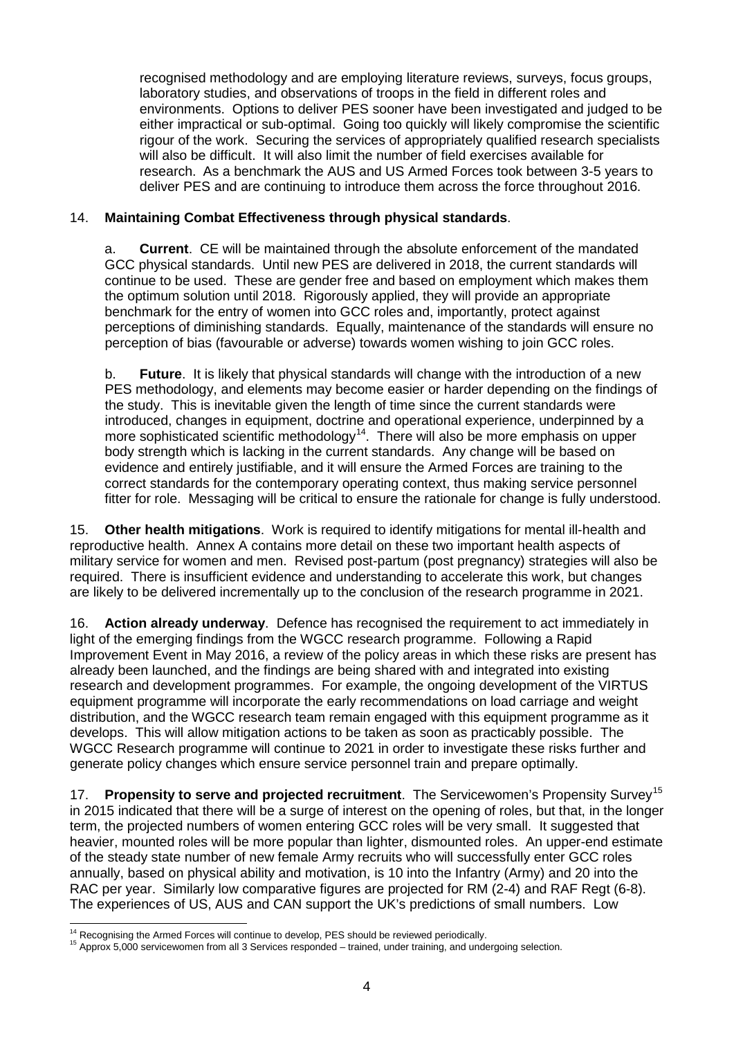recognised methodology and are employing literature reviews, surveys, focus groups, laboratory studies, and observations of troops in the field in different roles and environments. Options to deliver PES sooner have been investigated and judged to be either impractical or sub-optimal. Going too quickly will likely compromise the scientific rigour of the work. Securing the services of appropriately qualified research specialists will also be difficult. It will also limit the number of field exercises available for research. As a benchmark the AUS and US Armed Forces took between 3-5 years to deliver PES and are continuing to introduce them across the force throughout 2016.

### 14. **Maintaining Combat Effectiveness through physical standards**.

a. **Current**.CE will be maintained through the absolute enforcement of the mandated GCC physical standards. Until new PES are delivered in 2018, the current standards will continue to be used. These are gender free and based on employment which makes them the optimum solution until 2018. Rigorously applied, they will provide an appropriate benchmark for the entry of women into GCC roles and, importantly, protect against perceptions of diminishing standards. Equally, maintenance of the standards will ensure no perception of bias (favourable or adverse) towards women wishing to join GCC roles.

b. **Future**. It is likely that physical standards will change with the introduction of a new PES methodology, and elements may become easier or harder depending on the findings of the study. This is inevitable given the length of time since the current standards were introduced, changes in equipment, doctrine and operational experience, underpinned by a more sophisticated scientific methodology<sup>14</sup>. There will also be more emphasis on upper body strength which is lacking in the current standards. Any change will be based on evidence and entirely justifiable, and it will ensure the Armed Forces are training to the correct standards for the contemporary operating context, thus making service personnel fitter for role. Messaging will be critical to ensure the rationale for change is fully understood.

15. **Other health mitigations**. Work is required to identify mitigations for mental ill-health and reproductive health. Annex A contains more detail on these two important health aspects of military service for women and men. Revised post-partum (post pregnancy) strategies will also be required. There is insufficient evidence and understanding to accelerate this work, but changes are likely to be delivered incrementally up to the conclusion of the research programme in 2021.

16. **Action already underway**. Defence has recognised the requirement to act immediately in light of the emerging findings from the WGCC research programme. Following a Rapid Improvement Event in May 2016, a review of the policy areas in which these risks are present has already been launched, and the findings are being shared with and integrated into existing research and development programmes. For example, the ongoing development of the VIRTUS equipment programme will incorporate the early recommendations on load carriage and weight distribution, and the WGCC research team remain engaged with this equipment programme as it develops. This will allow mitigation actions to be taken as soon as practicably possible. The WGCC Research programme will continue to 2021 in order to investigate these risks further and generate policy changes which ensure service personnel train and prepare optimally.

17. **Propensity to serve and projected recruitment**. The Servicewomen's Propensity Survey<sup>[15](#page-3-1)</sup> in 2015 indicated that there will be a surge of interest on the opening of roles, but that, in the longer term, the projected numbers of women entering GCC roles will be very small. It suggested that heavier, mounted roles will be more popular than lighter, dismounted roles. An upper-end estimate of the steady state number of new female Army recruits who will successfully enter GCC roles annually, based on physical ability and motivation, is 10 into the Infantry (Army) and 20 into the RAC per year. Similarly low comparative figures are projected for RM (2-4) and RAF Regt (6-8). The experiences of US, AUS and CAN support the UK's predictions of small numbers. Low

<span id="page-3-1"></span><span id="page-3-0"></span>

<sup>&</sup>lt;sup>14</sup> Recognising the Armed Forces will continue to develop, PES should be reviewed periodically.<br><sup>15</sup> Approx 5,000 servicewomen from all 3 Services responded – trained, under training, and undergoing selection.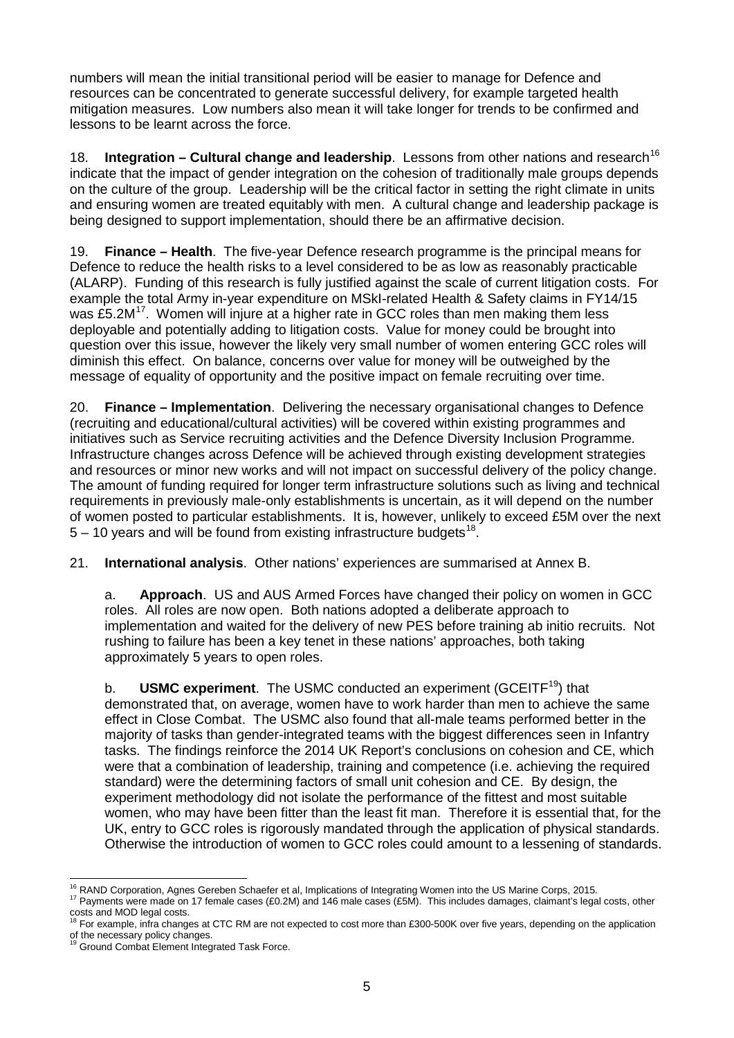numbers will mean the initial transitional period will be easier to manage for Defence and resources can be concentrated to generate successful delivery, for example targeted health mitigation measures. Low numbers also mean it will take longer for trends to be confirmed and lessons to be learnt across the force.

18. **Integration – Cultural change and leadership**. Lessons from other nations and research<sup>[16](#page-4-0)</sup> indicate that the impact of gender integration on the cohesion of traditionally male groups depends on the culture of the group. Leadership will be the critical factor in setting the right climate in units and ensuring women are treated equitably with men. A cultural change and leadership package is being designed to support implementation, should there be an affirmative decision.

19. **Finance – Health**. The five-year Defence research programme is the principal means for Defence to reduce the health risks to a level considered to be as low as reasonably practicable (ALARP). Funding of this research is fully justified against the scale of current litigation costs. For example the total Army in-year expenditure on MSkI-related Health & Safety claims in FY14/15 was £5.2M $<sup>17</sup>$  $<sup>17</sup>$  $<sup>17</sup>$ . Women will injure at a higher rate in GCC roles than men making them less</sup> deployable and potentially adding to litigation costs. Value for money could be brought into question over this issue, however the likely very small number of women entering GCC roles will diminish this effect. On balance, concerns over value for money will be outweighed by the message of equality of opportunity and the positive impact on female recruiting over time.

20. **Finance – Implementation**. Delivering the necessary organisational changes to Defence (recruiting and educational/cultural activities) will be covered within existing programmes and initiatives such as Service recruiting activities and the Defence Diversity Inclusion Programme. Infrastructure changes across Defence will be achieved through existing development strategies and resources or minor new works and will not impact on successful delivery of the policy change. The amount of funding required for longer term infrastructure solutions such as living and technical requirements in previously male-only establishments is uncertain, as it will depend on the number of women posted to particular establishments. It is, however, unlikely to exceed £5M over the next  $5 - 10$  years and will be found from existing infrastructure budgets<sup>[18.](#page-4-2)1</sup>

## 21. **International analysis**. Other nations' experiences are summarised at Annex B.

a. **Approach**. US and AUS Armed Forces have changed their policy on women in GCC roles. All roles are now open. Both nations adopted a deliberate approach to implementation and waited for the delivery of new PES before training ab initio recruits. Not rushing to failure has been a key tenet in these nations' approaches, both taking approximately 5 years to open roles.

b. **USMC experiment**. The USMC conducted an experiment (GCEITF<sup>19</sup>) that demonstrated that, on average, women have to work harder than men to achieve the same effect in Close Combat. The USMC also found that all-male teams performed better in the majority of tasks than gender-integrated teams with the biggest differences seen in Infantry tasks. The findings reinforce the 2014 UK Report's conclusions on cohesion and CE, which were that a combination of leadership, training and competence (i.e. achieving the required standard) were the determining factors of small unit cohesion and CE. By design, the experiment methodology did not isolate the performance of the fittest and most suitable women, who may have been fitter than the least fit man. Therefore it is essential that, for the UK, entry to GCC roles is rigorously mandated through the application of physical standards. Otherwise the introduction of women to GCC roles could amount to a lessening of standards.

<span id="page-4-1"></span><span id="page-4-0"></span><sup>&</sup>lt;sup>16</sup> RAND Corporation, Agnes Gereben Schaefer et al, Implications of Integrating Women into the US Marine Corps, 2015.<br><sup>17</sup> Payments were made on 17 female cases (£0.2M) and 146 male cases (£5M). This includes damages, cl

<span id="page-4-2"></span> $18$  For example, infra changes at CTC RM are not expected to cost more than £300-500K over five years, depending on the application of the necessary policy changes.<br><sup>19</sup> Ground Combat Element Integrated Task Force.

<span id="page-4-3"></span>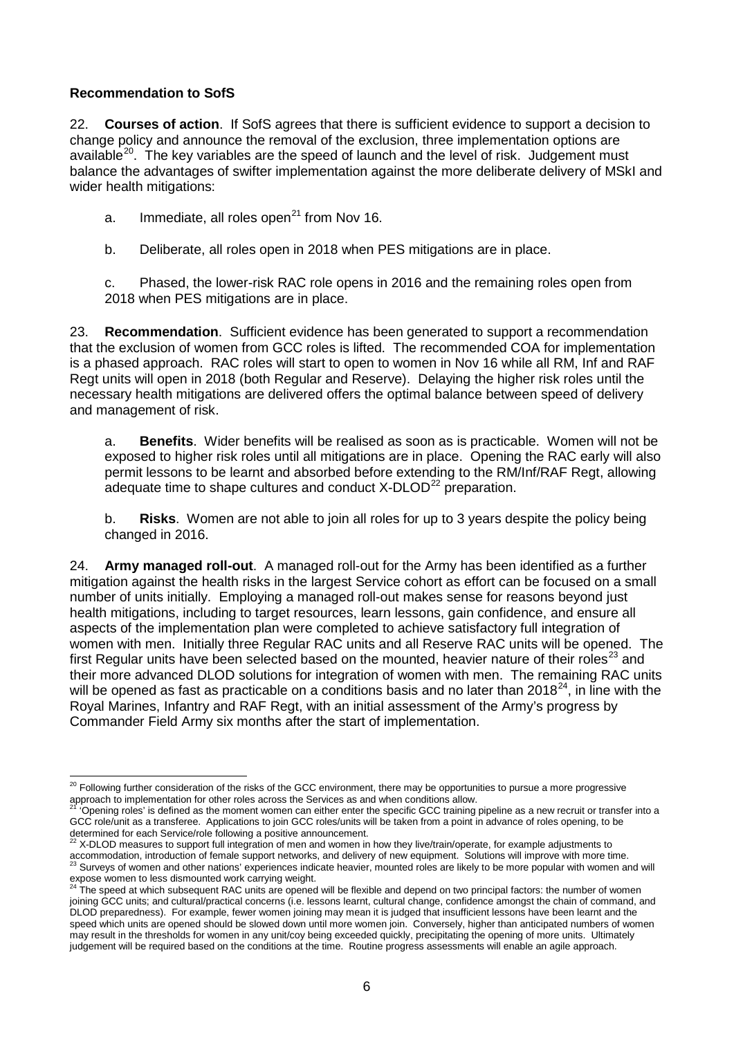#### **Recommendation to SofS**

22. **Courses of action**. If SofS agrees that there is sufficient evidence to support a decision to change policy and announce the removal of the exclusion, three implementation options are available<sup>[20](#page-5-0)</sup>. The key variables are the speed of launch and the level of risk. Judgement must balance the advantages of swifter implementation against the more deliberate delivery of MSkI and wider health mitigations:

a. Immediate, all roles open<sup>[21](#page-5-1)</sup> from Nov 16.

b. Deliberate, all roles open in 2018 when PES mitigations are in place.

c. Phased, the lower-risk RAC role opens in 2016 and the remaining roles open from 2018 when PES mitigations are in place.

23. **Recommendation**. Sufficient evidence has been generated to support a recommendation that the exclusion of women from GCC roles is lifted. The recommended COA for implementation is a phased approach. RAC roles will start to open to women in Nov 16 while all RM, Inf and RAF Regt units will open in 2018 (both Regular and Reserve). Delaying the higher risk roles until the necessary health mitigations are delivered offers the optimal balance between speed of delivery and management of risk.

a. **Benefits**. Wider benefits will be realised as soon as is practicable. Women will not be exposed to higher risk roles until all mitigations are in place. Opening the RAC early will also permit lessons to be learnt and absorbed before extending to the RM/Inf/RAF Regt, allowing adequate time to shape cultures and conduct  $X-DLOD<sup>22</sup>$  $X-DLOD<sup>22</sup>$  $X-DLOD<sup>22</sup>$  preparation.

b. **Risks**. Women are not able to join all roles for up to 3 years despite the policy being changed in 2016.

24. **Army managed roll-out**. A managed roll-out for the Army has been identified as a further mitigation against the health risks in the largest Service cohort as effort can be focused on a small number of units initially. Employing a managed roll-out makes sense for reasons beyond just health mitigations, including to target resources, learn lessons, gain confidence, and ensure all aspects of the implementation plan were completed to achieve satisfactory full integration of women with men. Initially three Regular RAC units and all Reserve RAC units will be opened. The first Regular units have been selected based on the mounted, heavier nature of their roles<sup>[23](#page-5-3)</sup> and their more advanced DLOD solutions for integration of women with men. The remaining RAC units will be opened as fast as practicable on a conditions basis and no later than 2018<sup>24</sup>, in line with the Royal Marines, Infantry and RAF Regt, with an initial assessment of the Army's progress by Commander Field Army six months after the start of implementation.

<span id="page-5-0"></span><sup>&</sup>lt;sup>20</sup> Following further consideration of the risks of the GCC environment, there may be opportunities to pursue a more progressive approach to implementation for other roles across the Services as and when conditions allow.

<span id="page-5-1"></span><sup>&#</sup>x27;Opening roles' is defined as the moment women can either enter the specific GCC training pipeline as a new recruit or transfer into a GCC role/unit as a transferee. Applications to join GCC roles/units will be taken from a point in advance of roles opening, to be

<span id="page-5-2"></span>determined for each Service/role following a positive announcement.<br><sup>22</sup> X-DLOD measures to support full integration of men and women in how they live/train/operate, for example adjustments to Commodation, introduction of female support networks, and delivery of new equipment. Solutions will improve with more time.<br><sup>23</sup> Surveys of women and other nations' experiences indicate heavier, mounted roles are likely to expose women to less dismounted work carrying weight.<br><sup>24</sup> The speed at which subsequent RAC units are opened will be flexible and depend on two principal factors: the number of women

<span id="page-5-4"></span><span id="page-5-3"></span>joining GCC units; and cultural/practical concerns (i.e. lessons learnt, cultural change, confidence amongst the chain of command, and DLOD preparedness). For example, fewer women joining may mean it is judged that insufficient lessons have been learnt and the speed which units are opened should be slowed down until more women join. Conversely, higher than anticipated numbers of women may result in the thresholds for women in any unit/coy being exceeded quickly, precipitating the opening of more units. Ultimately judgement will be required based on the conditions at the time. Routine progress assessments will enable an agile approach.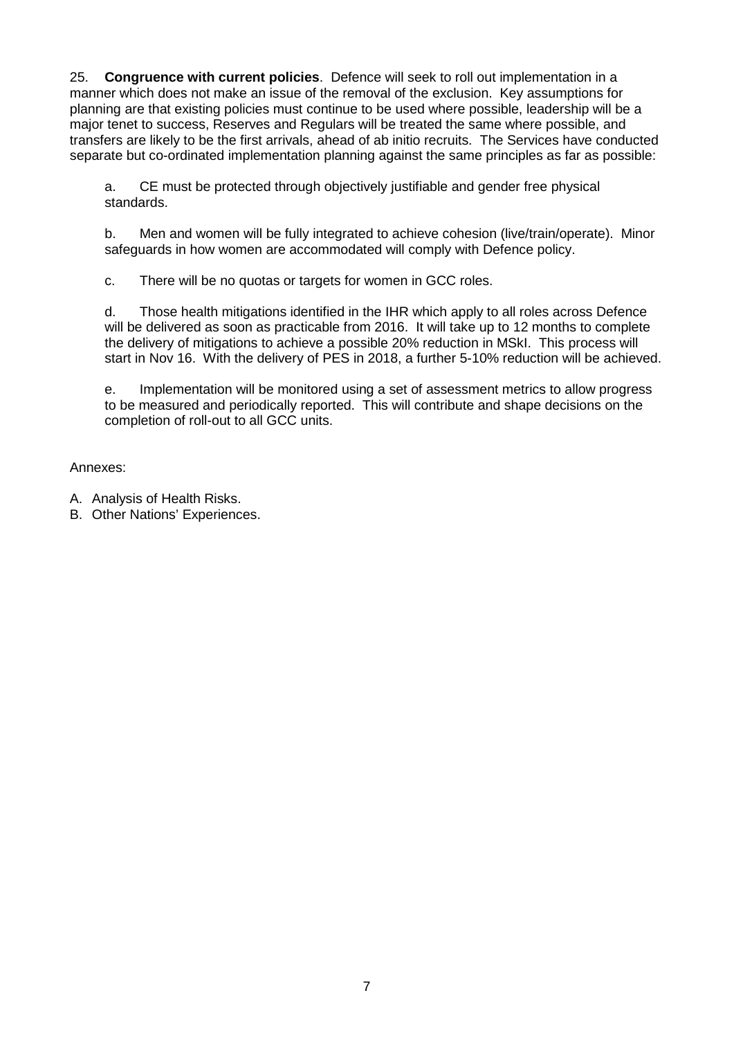25. **Congruence with current policies**. Defence will seek to roll out implementation in a manner which does not make an issue of the removal of the exclusion. Key assumptions for planning are that existing policies must continue to be used where possible, leadership will be a major tenet to success, Reserves and Regulars will be treated the same where possible, and transfers are likely to be the first arrivals, ahead of ab initio recruits. The Services have conducted separate but co-ordinated implementation planning against the same principles as far as possible:

a. CE must be protected through objectively justifiable and gender free physical standards.

b. Men and women will be fully integrated to achieve cohesion (live/train/operate). Minor safeguards in how women are accommodated will comply with Defence policy.

c. There will be no quotas or targets for women in GCC roles.

d. Those health mitigations identified in the IHR which apply to all roles across Defence will be delivered as soon as practicable from 2016. It will take up to 12 months to complete the delivery of mitigations to achieve a possible 20% reduction in MSkI. This process will start in Nov 16. With the delivery of PES in 2018, a further 5-10% reduction will be achieved.

e. Implementation will be monitored using a set of assessment metrics to allow progress to be measured and periodically reported. This will contribute and shape decisions on the completion of roll-out to all GCC units.

Annexes:

- A. Analysis of Health Risks.
- B. Other Nations' Experiences.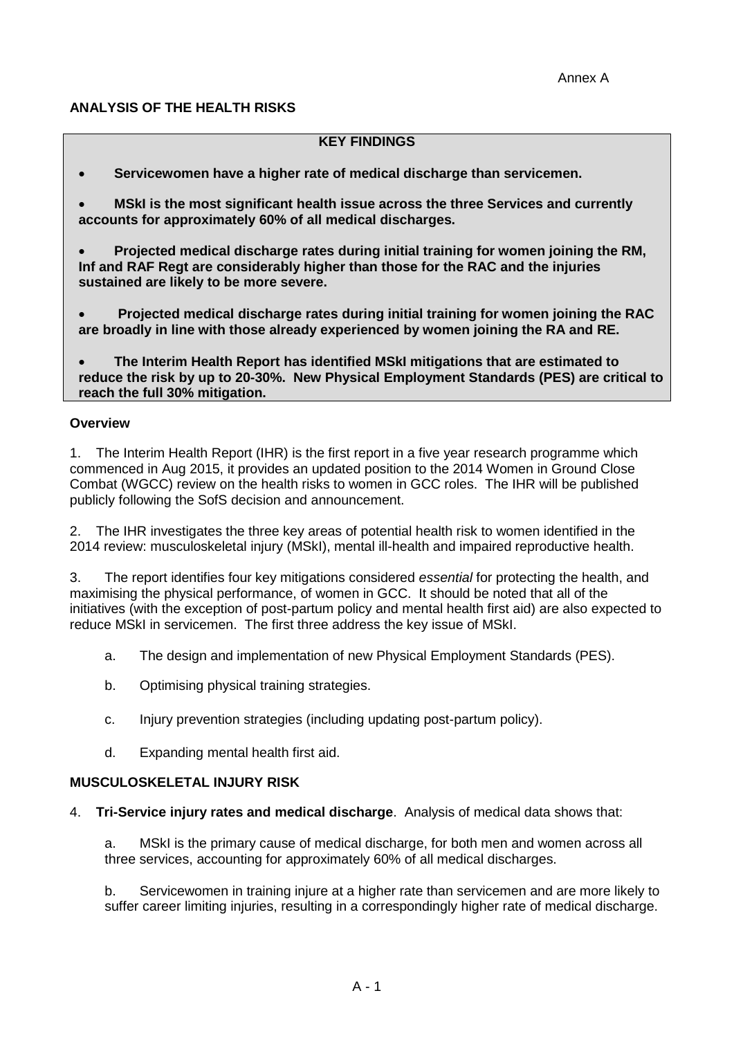### **ANALYSIS OF THE HEALTH RISKS**

#### **KEY FINDINGS**

- **Servicewomen have a higher rate of medical discharge than servicemen.**
- **MSkI is the most significant health issue across the three Services and currently accounts for approximately 60% of all medical discharges.**
- **Projected medical discharge rates during initial training for women joining the RM, Inf and RAF Regt are considerably higher than those for the RAC and the injuries sustained are likely to be more severe.**
- **Projected medical discharge rates during initial training for women joining the RAC are broadly in line with those already experienced by women joining the RA and RE.**

• **The Interim Health Report has identified MSkI mitigations that are estimated to reduce the risk by up to 20-30%. New Physical Employment Standards (PES) are critical to reach the full 30% mitigation.**

#### **Overview**

1. The Interim Health Report (IHR) is the first report in a five year research programme which commenced in Aug 2015, it provides an updated position to the 2014 Women in Ground Close Combat (WGCC) review on the health risks to women in GCC roles. The IHR will be published publicly following the SofS decision and announcement.

2. The IHR investigates the three key areas of potential health risk to women identified in the 2014 review: musculoskeletal injury (MSkI), mental ill-health and impaired reproductive health.

3. The report identifies four key mitigations considered *essential* for protecting the health, and maximising the physical performance, of women in GCC. It should be noted that all of the initiatives (with the exception of post-partum policy and mental health first aid) are also expected to reduce MSkI in servicemen. The first three address the key issue of MSkI.

- a. The design and implementation of new Physical Employment Standards (PES).
- b. Optimising physical training strategies.
- c. Injury prevention strategies (including updating post-partum policy).
- d. Expanding mental health first aid.

#### **MUSCULOSKELETAL INJURY RISK**

4. **Tri-Service injury rates and medical discharge**. Analysis of medical data shows that:

a. MSkI is the primary cause of medical discharge, for both men and women across all three services, accounting for approximately 60% of all medical discharges.

b. Servicewomen in training injure at a higher rate than servicemen and are more likely to suffer career limiting injuries, resulting in a correspondingly higher rate of medical discharge.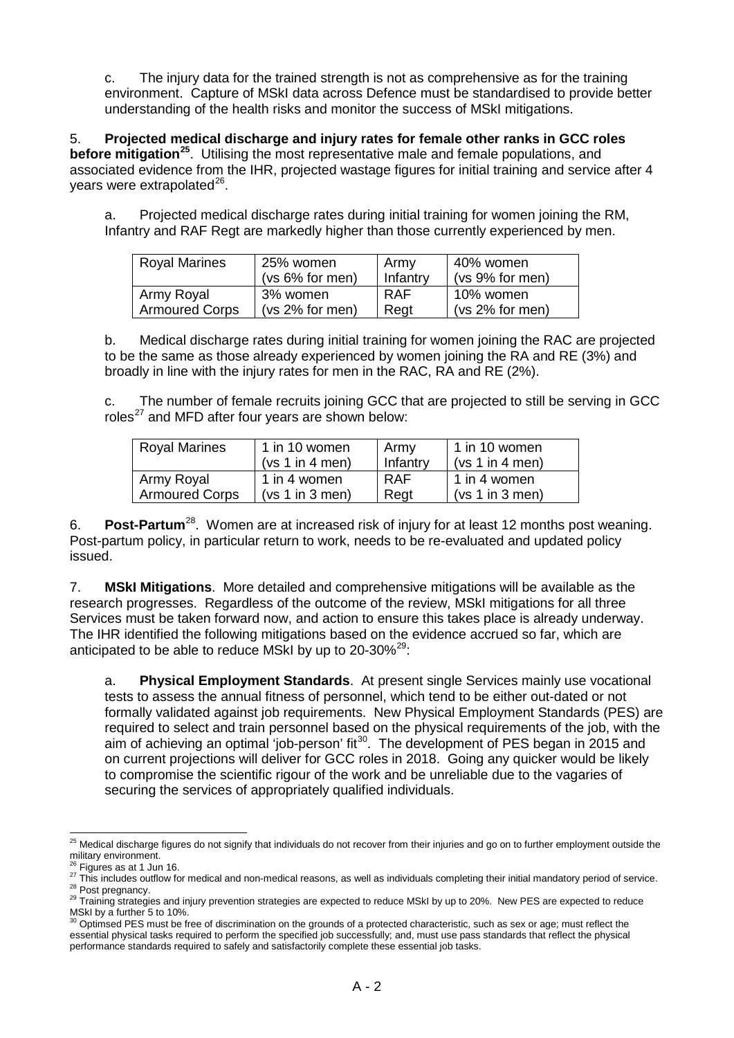c. The injury data for the trained strength is not as comprehensive as for the training environment. Capture of MSkI data across Defence must be standardised to provide better understanding of the health risks and monitor the success of MSkI mitigations.

5. **Projected medical discharge and injury rates for female other ranks in GCC roles before mitigation[25](#page-8-0)**. Utilising the most representative male and female populations, and associated evidence from the IHR, projected wastage figures for initial training and service after 4 years were extrapolated $^{26}$  $^{26}$  $^{26}$ .

a. Projected medical discharge rates during initial training for women joining the RM, Infantry and RAF Regt are markedly higher than those currently experienced by men.

| <b>Royal Marines</b>  | 25% women          | Army       | 40% women         |  |
|-----------------------|--------------------|------------|-------------------|--|
|                       | $(vs 6\%$ for men) | Infantry   | $(vs 9%$ for men) |  |
| Army Royal            | 3% women           | <b>RAF</b> | 10% women         |  |
| <b>Armoured Corps</b> | (vs 2% for men)    | Regt       | (vs 2% for men)   |  |

b. Medical discharge rates during initial training for women joining the RAC are projected to be the same as those already experienced by women joining the RA and RE (3%) and broadly in line with the injury rates for men in the RAC, RA and RE (2%).

c. The number of female recruits joining GCC that are projected to still be serving in GCC roles $^{27}$  $^{27}$  $^{27}$  and MFD after four vears are shown below:

| <b>Royal Marines</b>  | $\vert$ 1 in 10 women | Army     | 1 in 10 women   |
|-----------------------|-----------------------|----------|-----------------|
|                       | (vs 1 in 4 men)       | Infantry | (vs 1 in 4 men) |
| Army Royal            | 1 1 in 4 women        | RAF      | 1 in 4 women    |
| <b>Armoured Corps</b> | (vs 1 in 3 men)       | Regt     | (vs 1 in 3 men) |

6. **Post-Partum**[28.](#page-8-3) Women are at increased risk of injury for at least 12 months post weaning. Post-partum policy, in particular return to work, needs to be re-evaluated and updated policy issued.

7. **MSkI Mitigations**. More detailed and comprehensive mitigations will be available as the research progresses. Regardless of the outcome of the review, MSkI mitigations for all three Services must be taken forward now, and action to ensure this takes place is already underway. The IHR identified the following mitigations based on the evidence accrued so far, which are anticipated to be able to reduce MSkI by up to 20-30%<sup>29</sup>:

a. **Physical Employment Standards**. At present single Services mainly use vocational tests to assess the annual fitness of personnel, which tend to be either out-dated or not formally validated against job requirements. New Physical Employment Standards (PES) are required to select and train personnel based on the physical requirements of the job, with the aim of achieving an optimal 'job-person' fit<sup>30</sup>. The development of PES began in 2015 and on current projections will deliver for GCC roles in 2018. Going any quicker would be likely to compromise the scientific rigour of the work and be unreliable due to the vagaries of securing the services of appropriately qualified individuals.

<span id="page-8-0"></span><sup>&</sup>lt;sup>25</sup> Medical discharge figures do not signify that individuals do not recover from their injuries and go on to further employment outside the military environment.<br><sup>26</sup> Figures as at 1 Jun 16.

<span id="page-8-2"></span><span id="page-8-1"></span><sup>&</sup>lt;sup>26</sup> Figures as at 1 Jun 16.<br><sup>27</sup> This includes outflow for medical and non-medical reasons, as well as individuals completing their initial mandatory period of service.<br><sup>28</sup> Post pregnancy.<br><sup>29</sup> Training strategies and in

<span id="page-8-4"></span><span id="page-8-3"></span>MSkI by a further 5 to 10%.

<span id="page-8-5"></span> $30$  Optimsed PES must be free of discrimination on the grounds of a protected characteristic, such as sex or age; must reflect the essential physical tasks required to perform the specified job successfully; and, must use pass standards that reflect the physical performance standards required to safely and satisfactorily complete these essential job tasks.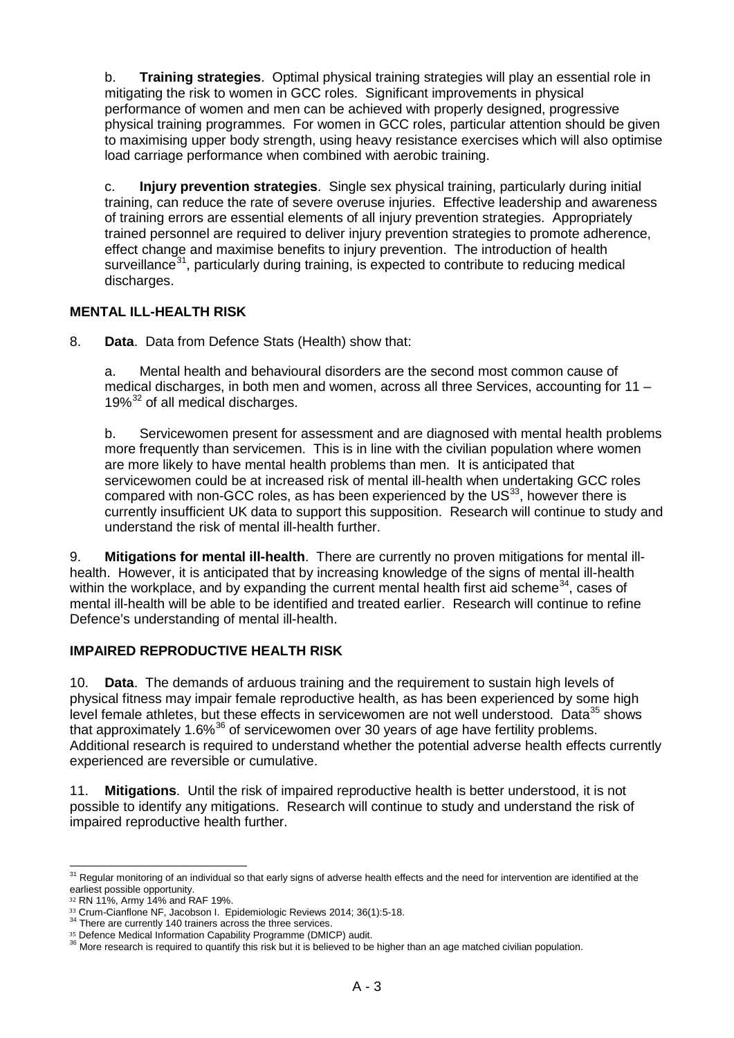b. **Training strategies**. Optimal physical training strategies will play an essential role in mitigating the risk to women in GCC roles. Significant improvements in physical performance of women and men can be achieved with properly designed, progressive physical training programmes. For women in GCC roles, particular attention should be given to maximising upper body strength, using heavy resistance exercises which will also optimise load carriage performance when combined with aerobic training.

c. **Injury prevention strategies**. Single sex physical training, particularly during initial training, can reduce the rate of severe overuse injuries. Effective leadership and awareness of training errors are essential elements of all injury prevention strategies. Appropriately trained personnel are required to deliver injury prevention strategies to promote adherence, effect change and maximise benefits to injury prevention. The introduction of health surveillance<sup>[31](#page-9-0)</sup>, particularly during training, is expected to contribute to reducing medical discharges.

## **MENTAL ILL-HEALTH RISK**

8. **Data**. Data from Defence Stats (Health) show that:

a. Mental health and behavioural disorders are the second most common cause of medical discharges, in both men and women, across all three Services, accounting for 11 –  $19\%$ <sup>[32](#page-9-1)</sup> of all medical discharges.

b. Servicewomen present for assessment and are diagnosed with mental health problems more frequently than servicemen. This is in line with the civilian population where women are more likely to have mental health problems than men. It is anticipated that servicewomen could be at increased risk of mental ill-health when undertaking GCC roles compared with non-GCC roles, as has been experienced by the  $US^{33}$ , however there is currently insufficient UK data to support this supposition. Research will continue to study and understand the risk of mental ill-health further.

9. **Mitigations for mental ill-health**.There are currently no proven mitigations for mental illhealth. However, it is anticipated that by increasing knowledge of the signs of mental ill-health within the workplace, and by expanding the current mental health first aid scheme<sup>34</sup>, cases of mental ill-health will be able to be identified and treated earlier. Research will continue to refine Defence's understanding of mental ill-health.

## **IMPAIRED REPRODUCTIVE HEALTH RISK**

10. **Data**. The demands of arduous training and the requirement to sustain high levels of physical fitness may impair female reproductive health, as has been experienced by some high level female athletes, but these effects in servicewomen are not well understood. Data<sup>[35](#page-9-4)</sup> shows that approximately  $1.6\%$ <sup>[36](#page-9-5)</sup> of servicewomen over 30 years of age have fertility problems. Additional research is required to understand whether the potential adverse health effects currently experienced are reversible or cumulative.

11. **Mitigations**. Until the risk of impaired reproductive health is better understood, it is not possible to identify any mitigations. Research will continue to study and understand the risk of impaired reproductive health further.

<span id="page-9-0"></span><sup>&</sup>lt;sup>31</sup> Regular monitoring of an individual so that early signs of adverse health effects and the need for intervention are identified at the earliest possible opportunity.

<span id="page-9-1"></span>

 $32$  RN 11%, Army 14% and RAF 19%.<br> $33$  Crum-Cianflone NF, Jacobson I. Epidemiologic Reviews 2014; 36(1):5-18.

<span id="page-9-3"></span><span id="page-9-2"></span><sup>34</sup> There are currently 140 trainers across the three services.<br><sup>35</sup> Defence Medical Information Capability Programme (DMICP) audit.

<span id="page-9-5"></span><span id="page-9-4"></span><sup>&</sup>lt;sup>36</sup> More research is required to quantify this risk but it is believed to be higher than an age matched civilian population.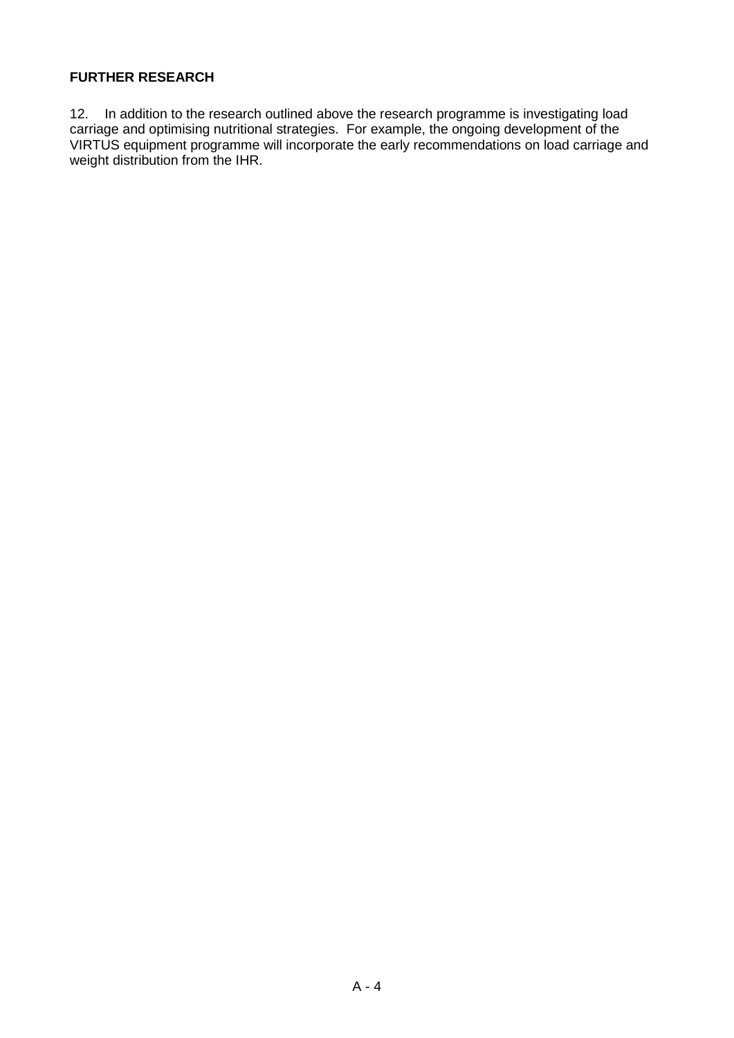## **FURTHER RESEARCH**

12. In addition to the research outlined above the research programme is investigating load carriage and optimising nutritional strategies. For example, the ongoing development of the VIRTUS equipment programme will incorporate the early recommendations on load carriage and weight distribution from the IHR.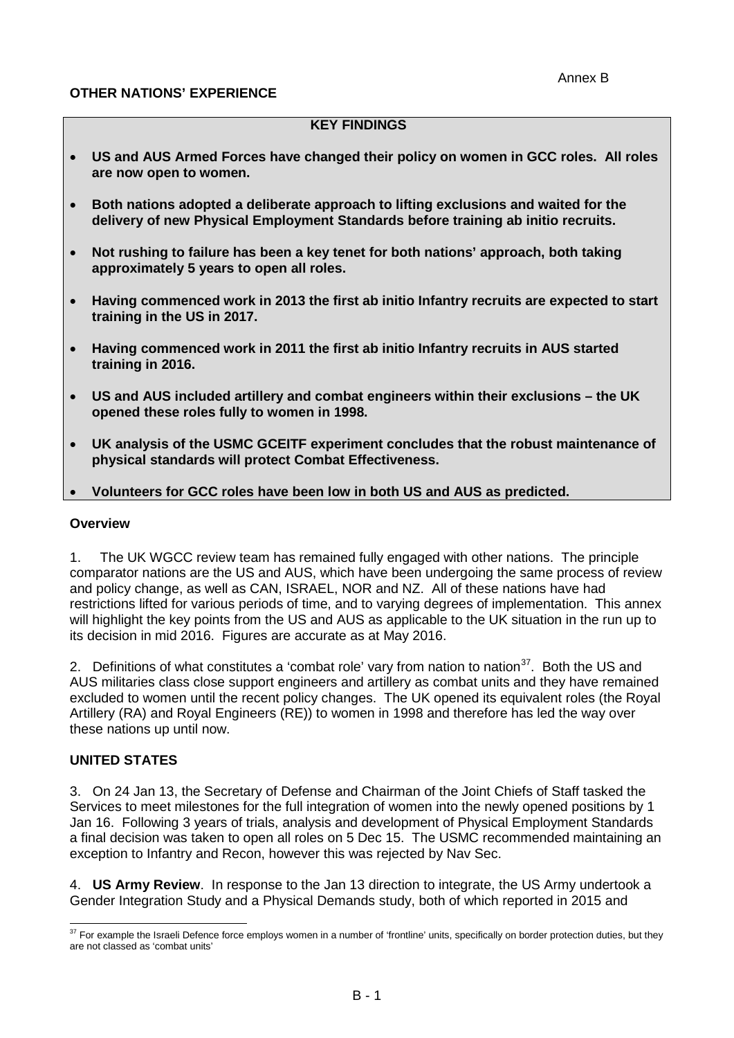### **OTHER NATIONS' EXPERIENCE**

### **KEY FINDINGS**

- **US and AUS Armed Forces have changed their policy on women in GCC roles. All roles are now open to women.**
- **Both nations adopted a deliberate approach to lifting exclusions and waited for the delivery of new Physical Employment Standards before training ab initio recruits.**
- **Not rushing to failure has been a key tenet for both nations' approach, both taking approximately 5 years to open all roles.**
- **Having commenced work in 2013 the first ab initio Infantry recruits are expected to start training in the US in 2017.**
- **Having commenced work in 2011 the first ab initio Infantry recruits in AUS started training in 2016.**
- **US and AUS included artillery and combat engineers within their exclusions – the UK opened these roles fully to women in 1998.**
- **UK analysis of the USMC GCEITF experiment concludes that the robust maintenance of physical standards will protect Combat Effectiveness.**
- **Volunteers for GCC roles have been low in both US and AUS as predicted.**

#### **Overview**

1. The UK WGCC review team has remained fully engaged with other nations. The principle comparator nations are the US and AUS, which have been undergoing the same process of review and policy change, as well as CAN, ISRAEL, NOR and NZ. All of these nations have had restrictions lifted for various periods of time, and to varying degrees of implementation. This annex will highlight the key points from the US and AUS as applicable to the UK situation in the run up to its decision in mid 2016. Figures are accurate as at May 2016.

2. Definitions of what constitutes a 'combat role' vary from nation to nation<sup>37</sup>. Both the US and AUS militaries class close support engineers and artillery as combat units and they have remained excluded to women until the recent policy changes. The UK opened its equivalent roles (the Royal Artillery (RA) and Royal Engineers (RE)) to women in 1998 and therefore has led the way over these nations up until now.

#### **UNITED STATES**

3. On 24 Jan 13, the Secretary of Defense and Chairman of the Joint Chiefs of Staff tasked the Services to meet milestones for the full integration of women into the newly opened positions by 1 Jan 16. Following 3 years of trials, analysis and development of Physical Employment Standards a final decision was taken to open all roles on 5 Dec 15. The USMC recommended maintaining an exception to Infantry and Recon, however this was rejected by Nav Sec.

4. **US Army Review**. In response to the Jan 13 direction to integrate, the US Army undertook a Gender Integration Study and a Physical Demands study, both of which reported in 2015 and

<span id="page-11-0"></span><sup>&</sup>lt;sup>37</sup> For example the Israeli Defence force employs women in a number of 'frontline' units, specifically on border protection duties, but they are not classed as 'combat units'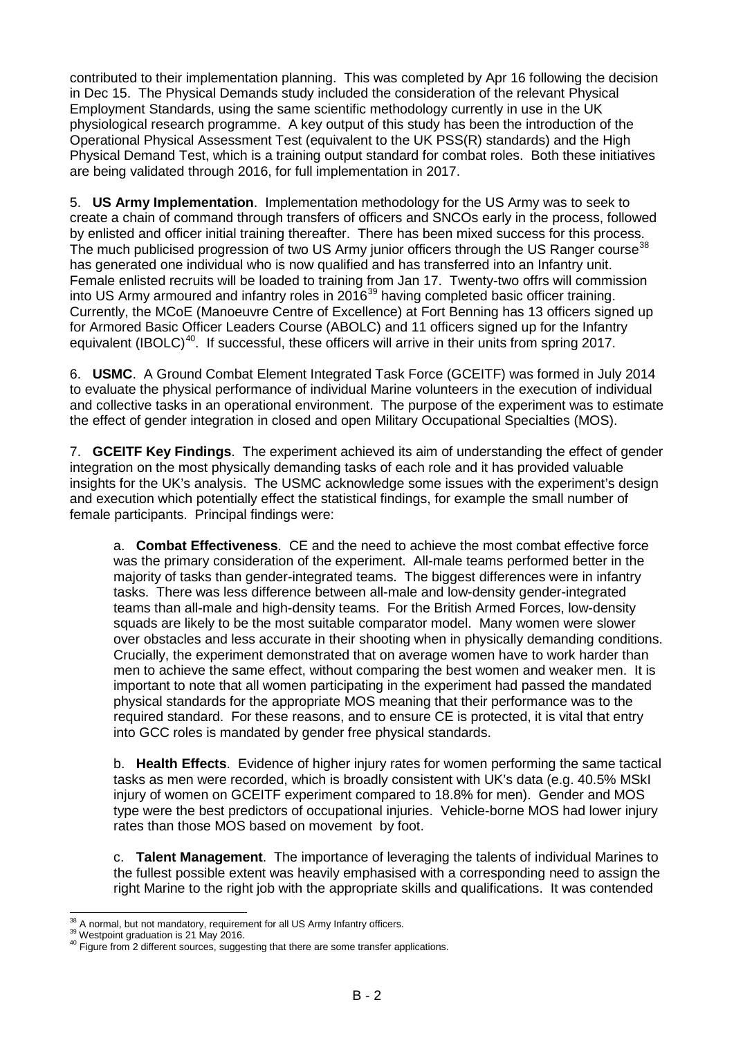contributed to their implementation planning. This was completed by Apr 16 following the decision in Dec 15. The Physical Demands study included the consideration of the relevant Physical Employment Standards, using the same scientific methodology currently in use in the UK physiological research programme. A key output of this study has been the introduction of the Operational Physical Assessment Test (equivalent to the UK PSS(R) standards) and the High Physical Demand Test, which is a training output standard for combat roles. Both these initiatives are being validated through 2016, for full implementation in 2017.

5. **US Army Implementation**. Implementation methodology for the US Army was to seek to create a chain of command through transfers of officers and SNCOs early in the process, followed by enlisted and officer initial training thereafter. There has been mixed success for this process. The much publicised progression of two US Army junior officers through the US Ranger course<sup>[38](#page-12-0)</sup> has generated one individual who is now qualified and has transferred into an Infantry unit. Female enlisted recruits will be loaded to training from Jan 17. Twenty-two offrs will commission into US Army armoured and infantry roles in 2016<sup>[39](#page-12-1)</sup> having completed basic officer training. Currently, the MCoE (Manoeuvre Centre of Excellence) at Fort Benning has 13 officers signed up for Armored Basic Officer Leaders Course (ABOLC) and 11 officers signed up for the Infantry equivalent (IBOLC)<sup>[40](#page-12-2)</sup>. If successful, these officers will arrive in their units from spring 2017.

6. **USMC**. A Ground Combat Element Integrated Task Force (GCEITF) was formed in July 2014 to evaluate the physical performance of individual Marine volunteers in the execution of individual and collective tasks in an operational environment. The purpose of the experiment was to estimate the effect of gender integration in closed and open Military Occupational Specialties (MOS).

7. **GCEITF Key Findings**. The experiment achieved its aim of understanding the effect of gender integration on the most physically demanding tasks of each role and it has provided valuable insights for the UK's analysis. The USMC acknowledge some issues with the experiment's design and execution which potentially effect the statistical findings, for example the small number of female participants. Principal findings were:

a. **Combat Effectiveness**. CE and the need to achieve the most combat effective force was the primary consideration of the experiment. All-male teams performed better in the majority of tasks than gender-integrated teams. The biggest differences were in infantry tasks. There was less difference between all-male and low-density gender-integrated teams than all-male and high-density teams. For the British Armed Forces, low-density squads are likely to be the most suitable comparator model. Many women were slower over obstacles and less accurate in their shooting when in physically demanding conditions. Crucially, the experiment demonstrated that on average women have to work harder than men to achieve the same effect, without comparing the best women and weaker men. It is important to note that all women participating in the experiment had passed the mandated physical standards for the appropriate MOS meaning that their performance was to the required standard. For these reasons, and to ensure CE is protected, it is vital that entry into GCC roles is mandated by gender free physical standards.

b. **Health Effects**. Evidence of higher injury rates for women performing the same tactical tasks as men were recorded, which is broadly consistent with UK's data (e.g. 40.5% MSkI injury of women on GCEITF experiment compared to 18.8% for men). Gender and MOS type were the best predictors of occupational injuries. Vehicle-borne MOS had lower injury rates than those MOS based on movement by foot.

c. **Talent Management**. The importance of leveraging the talents of individual Marines to the fullest possible extent was heavily emphasised with a corresponding need to assign the right Marine to the right job with the appropriate skills and qualifications. It was contended

<span id="page-12-2"></span><span id="page-12-1"></span>

<span id="page-12-0"></span><sup>&</sup>lt;sup>38</sup> A normal, but not mandatory, requirement for all US Army Infantry officers.<br><sup>39</sup> Westpoint graduation is 21 May 2016.<br><sup>40</sup> Figure from 2 different sources, suggesting that there are some transfer applications.